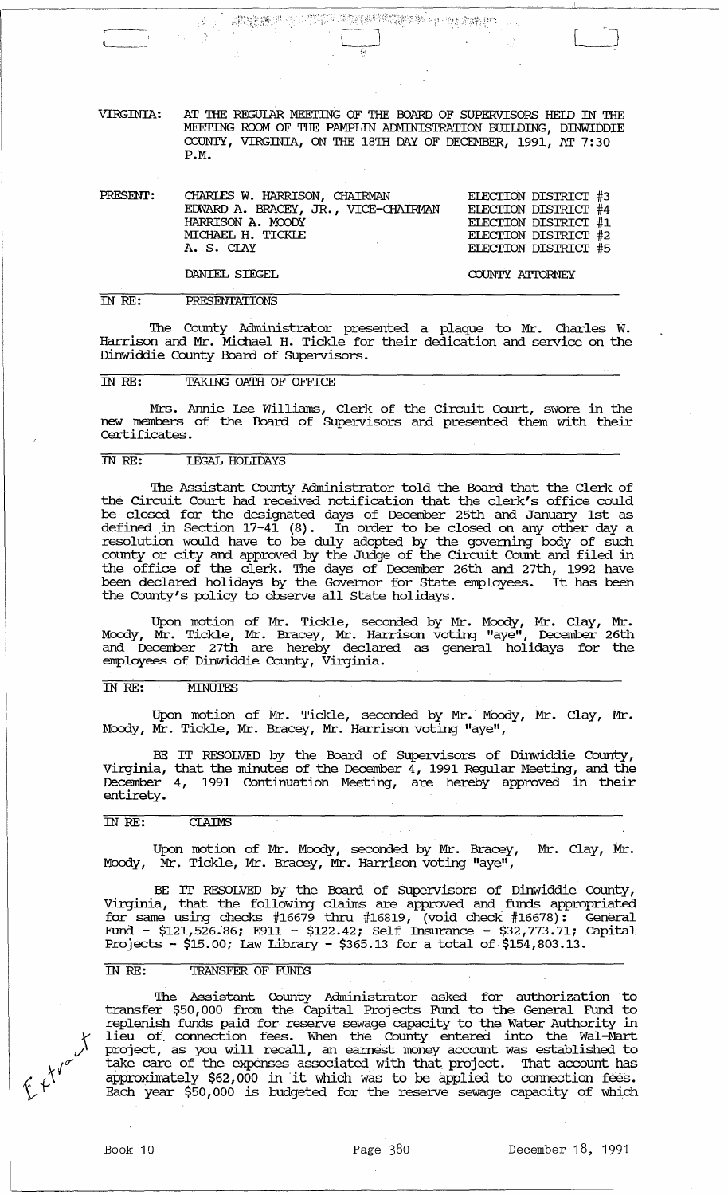------------~------------------------------------~------~----~~~----~--~--~~-------- *<sup>r</sup>*."~,.'. ,.,".' • Ll ( ---' '------.-J

> VIRGINIA: AT THE REGUIAR MEEl'ING OF THE OOARD OF SUPERVISORS HEID IN THE MEETING ROOM OF THE PAMPLIN ADMINISTRATION BUIIDING, DINWIDDIE COUNTY, VIRGINIA, ON THE 18'IH DAY OF DECEMBER, 1991, AT 7:30 P.M.

| PRESENT: | CHARLES W. HARRISON, CHAIRMAN<br>EDWARD A. BRACEY, JR., VICE-CHAIRMAN<br>HARRISON A. MOODY<br>MICHAEL H. TICKLE<br>A. S. CLAY | ELECTION DISTRICT #3<br>ELECTION DISTRICT #4<br>ELECTION DISTRICT #1<br>ELECTION DISTRICT #2<br>ELECTION DISTRICT #5 |
|----------|-------------------------------------------------------------------------------------------------------------------------------|----------------------------------------------------------------------------------------------------------------------|
|          | DANIEL SIEGEL                                                                                                                 | COUNTY ATTORNEY                                                                                                      |

IN RE: **PRESENTATIONS** 

The County Administrator presented a plaque to Mr. Charles W. Harrison and Mr. Michael H. Tickle for their dedication and service on the Dinwiddie county Board of Supervisors.

#### IN RE: TAKING OA'IH OF OFFICE

Mrs. Annie lee Williams, Clerk of the Circuit Court, swore in the new members of the Board of SUpervisors and presented them with their Certificates.

# IN RE: lEGAL HOLIDAYS

The Assistant County Administrator told the Board that the Clerk of the Circuit Court had received notification that the clerk's office could be closed for the designated days of December 25th and January 1st as defined in Section  $17-41$   $(8)$ . In order to be closed on any other day a resolution would have to be duly adopted by the governing body of such county or city and approved by the Judge of the Circuit Count and filed in the office of the clerk. The days of December 26th and 27th, 1992 have been declared holidays by the Governor for State employees. It has been the County's policy to observe all State holidays.

Upon motion of Mr. Tickle, seconded by Mr. Moody, Mr. Clay, Mr. Moody, Mr. Tickle, Mr. Bracey, Mr. Harrison voting "aye", December 26th and December 27th are hereby declared as general holidays for the employees of Dinwiddie County, Virginia.

# IN RE: MINUTES

Upon motion of Mr. Tickle, seconded by Mr. Moody, Mr. Clay, Mr. Moody, Mr. Tickle, Mr. Bracey, Mr. Harrison voting "aye",

BE IT RESOLvED by the Board of Supervisors of Dinwiddie County, Virginia, that the minutes of the December  $\overline{4}$ , 1991 Regular Meeting, and the December 4, 1991 Continuation Meeting, are hereby approved in their entirety.

# IN RE: CIAIMS

Upon motion of Mr. Moody, seconded by Mr. Bracey, Mr. Clay, Mr. Moody, Mr. Tickle, Mr. Bracey, Mr. Harrison voting "aye",

BE IT RESOLVED by the Board of Supervisors of Dinwiddie County, Virginia, that the following claims are approved and funds appropriated for same using checks  $#16679$  thru  $#16819,$  (void check  $#16678$ ): General Fund - \$121,526.-86; E911 - \$122.42; Self Insurance - \$32,773.71; capital Projects - \$15.00; Law Library - \$365.13 for a total of \$154,803.13.

# IN RE: TRANSFER OF FUNDS

The Assistant County Administrator asked for authorization to transfer \$50,000 from the capital Projects Fund to the General Fund to replenish funds paid for- reserve sewage capacity to the Water Authority in lieu of. connection fees. When the County entered into the Wal-Mart project, as you will recall, an earnest money account was established to take care of the expenses associated with that project. That account has and the or the appearance association with the project. That account has approximately \$62,000 in it which was to be applied to connection fees. Each year \$50, 000 is budgeted for the reserve sewage capacity of which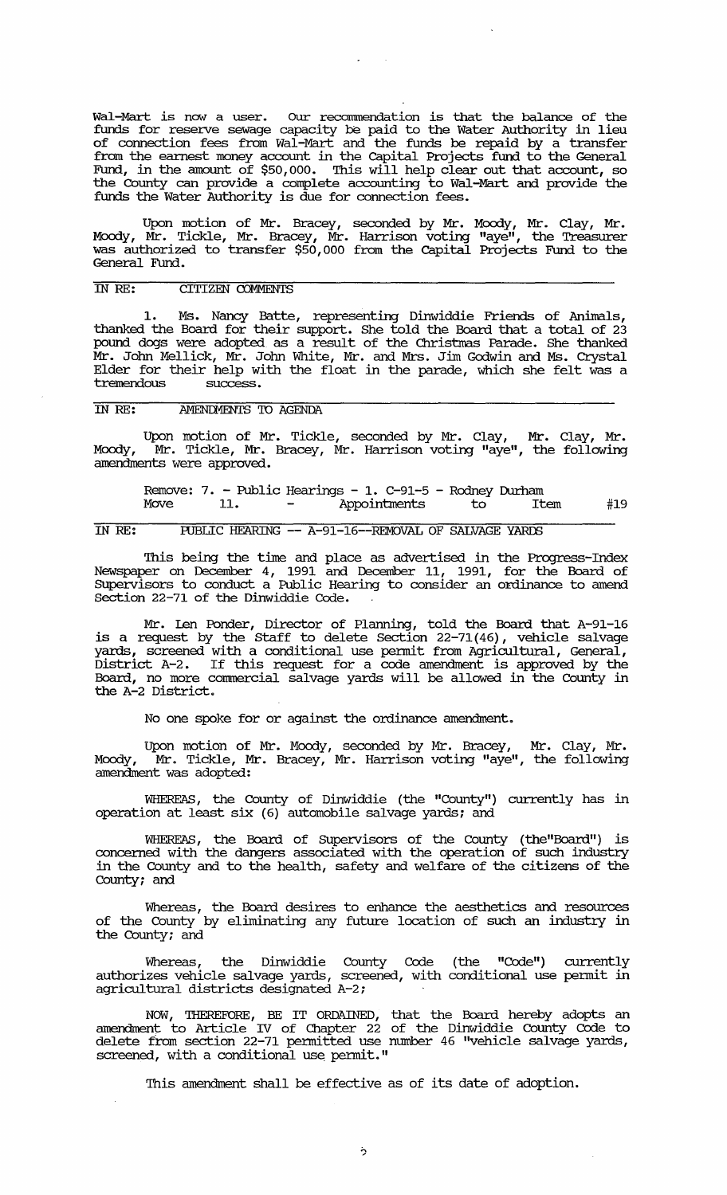Wal-Mart is now a user. Our recommendation is that the balance of the funds for reserve sewage capacity be paid to the Water Authority in lieu of connection fees from Wal-Mart and the funds be repaid by a transfer from the earnest money account in the capital Projects fund to the General Fund, in the amount of \$50,000. This will help clear out that account, so the County can provide a complete accounting to Wal-Mart and provide the funds the Water Authority is due for connection fees.

 $\mathcal{L}^{\pm}$  $\sim 10$ 

Upon motion of Mr. Bracey, seconded by Mr. Moody, Mr. Clay, Mr. Mcxxly, Mr. Tickle, Mr. Bracey, Mr. Harrison voting "aye", the Treasurer was authorized to transfer \$50,000 from the capital Projects Fund to the General Fund.

### IN RE: CITIZEN COMMENTS

1. Ms. Nancy Batte, representing Dinwiddie Friends of Animals, thanked the Board for their support. She told the Board that a total of 23 pound dogs were adopted as a result of the Christmas Parade. She thanked Mr. John Mellick, Mr. John White, Mr. and Mrs. Jim Godwin and Ms. Crystal Elder for their help with the float in the parade, which she felt was a tremendous success.

# IN RE: AMENDMENTS TO AGENDA

Upon motion of Mr. Tickle, seconded by Mr. Clay, Mr. Clay, Mr • Mcxxly, Mr. Tickle, Mr. Bracey, Mr. Harrison voting "aye", the following amendments were approved.

|      |                                   | Remove: 7. - Public Hearings - 1. C-91-5 - Rodney Durham |    |      |     |
|------|-----------------------------------|----------------------------------------------------------|----|------|-----|
| Move | and the state of the state of the | Appointments                                             | to | Item | #19 |

#### IN RE: PUBLIC HEARING -- A-91-16--REMOVAL OF SALVAGE YARDS

This being the time and place as advertised in the Progress-Index Newspaper on December 4, 1991 and December 11, 1991, for the Board of Supervisors to conduct a Public Hearing to consider an ordinance to amend Section 22-71 of the Dinwiddie Code.

Mr. len Ponder, Director of Planning, told the Board that A-91-16 is a request by the Staff to delete Section 22-71(46), vehicle salvage yards, screened with a conditional use pennit from Agricultural, General, District A-2. If this request for a code amendment is approved by the Board, no more conunercial salvage yards will be allowed in the County in the A-2 District.

No one spoke for or against the ordinance amendment.

Upon motion of Mr. Moody, seconded by Mr. Bracey, Mr. Clay, Mr. Moody, <sup>"</sup>Mr. Tickle, Mr. Bracey, Mr. Harrison voting "aye", the following Moody, Mr. Tickle, M<br>amendment was adopted:

WHEREAS, the County of Dinwiddie (the "County") currently has in operation at least six (6) automobile salvage yards; and

WHEREAS, the Board of Supervisors of the County (the"Board") is concerned with the dangers associated with the operation of such industry in the County and to the health, safety and welfare of the citizens of the county; and

Whereas, the Board desires to enhance the aesthetics and resources of the County by eliminating any future location of such an industry in the County; and

Whereas, the Dinwiddie County Code (the "Code") currently authorizes vehicle salvage yards, screened, with conditional use permit in agricultural districts designated *A-2i* 

NOW, THEREFORE, BE IT ORDAINED, that the Board hereby adopts an amendment to Article IV of Chapter 22 of the Dinwiddie County Code to delete from section 22-71 pennitted use number 46 "vehicle salvage yards, screened, with a conditional use permit."

This amendment shall be effective as of its date of adoption.

?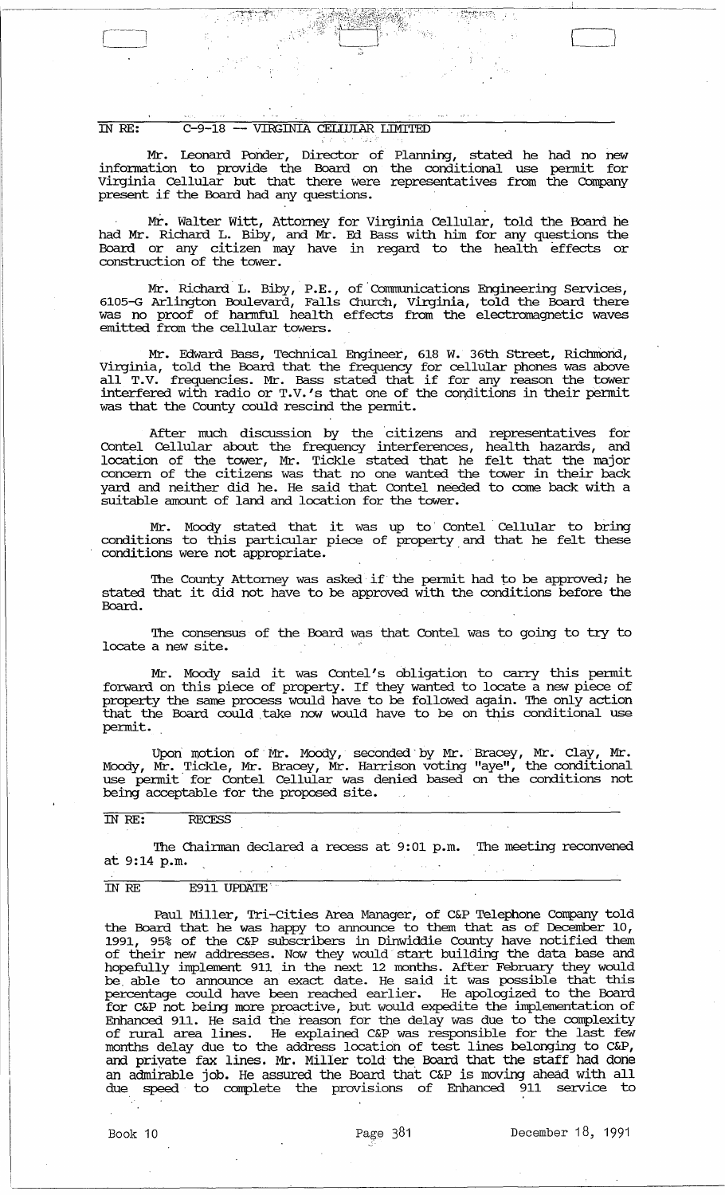IN *RE:* C-9-18 **--** VIRGINIA CELUJIAR LIMI'IED

Mr. leonard Ponder, Director of Plarming, stated he had no new infonnation to provide the Board on the conditional use pemit for Virginia Cellular but that there were representatives from the Company present if the Board had any questions.

Mr. Walter Witt, Attorney for Virginia Cellular, told the Board he had Mr. Richard L. Biby, and Mr. Ed Bass with him for any questions the Board or any citizen may have in regard to the health effects or construction of the tower.

Mr. Richard L. Biby, P.E., of' Communications Engineering serviceS, 6105-G Arlington Boulevard, Falls Church, Virginia, told the Board there was no proof of hannful health effects from the electromagnetic waves emitted from the cellular towers.

Mr. Edward Bass, Technical Engineer, 618 W. 36th Street, Richmond, Virginia, told the Board that the frequency for cellular phones was above all T.V. frequencies. Mr. Bass stated that if for any reason the tower interfered with radio or T.V.'s that one of the conditions in their permit was that the County could rescind the permit.

After much discussion by the citizens and representatives for Contel Cellular about the frequency interferences, health hazards, and location of the tower, Mr. Tickle stated that he felt that the major concern of the citizens was that no one wanted the tower in their back yard and neither did he. He said that Contel needed to come back with a suitable amount of land and location for the tower.

Mr. Moody stated that it was up to' Contel 'Cellular to bring conditions to this particular piece of property and that he felt these conditions were not appropriate. '

The County Attorney was asked if the pemit had to be approved; he stated that it did not have to be approved with the conditions before the Board.

The consensus of the Board was that Contel was to going to try to locate a new site.

Mr. Moody said it was Contel's obligation to carry this pemit forward on this piece of property. If they wanted to locate a new piece of property the same process would have to be followed again. The only action that the Board could ,take now would have to be on this conditional use permit.

Upon motion of Mr. Moody, seconded by Mr. Bracey, Mr. Clay, Mr. Moody, Mr. Tickle, Mr. Bracey, Mr. Harrison voting "aye", the conditional use pemit' for Contel Cellular was denied based on the conditions not being acceptable for the proposed site.

# IN *RE:* RECESS

The Chairman declared a recess at 9:01 p.m. The meeting reconvened at 9:14 p.m.

## IN *RE* E911 UPDATE'

Paul Miller, Tri-cities Area Manager, of C&P Telephone Company told the Board that he was happy to armounce to them that as of December 10, 1991, 95% of the C&P subscribers in Dinwiddie County have notified them of their new addresses. Now they would" start building the data base and hopefully implement 911 in the next 12 months. After February they would be, able to armounce an exact date. He said it was possible that this percentage could have been reached earlier. He apologized to the Board for C&P not being more proactive, but would expedite the implementation of Enhanced 911. He said the reason for the delay was due to the complexity of rural area lines. He explained C&P was responsible for the last few months delay due to the address location of test lines belonging to C&P, and priyate fax lines. Mr. Miller told the, Board that the staff had done an admirable job. He assured the Board that C&P is moving ahead with all due speed to complete the provisions of Enhanced 911 service to

 $\begin{pmatrix} 1 & 1 \\ 1 & 1 \end{pmatrix}$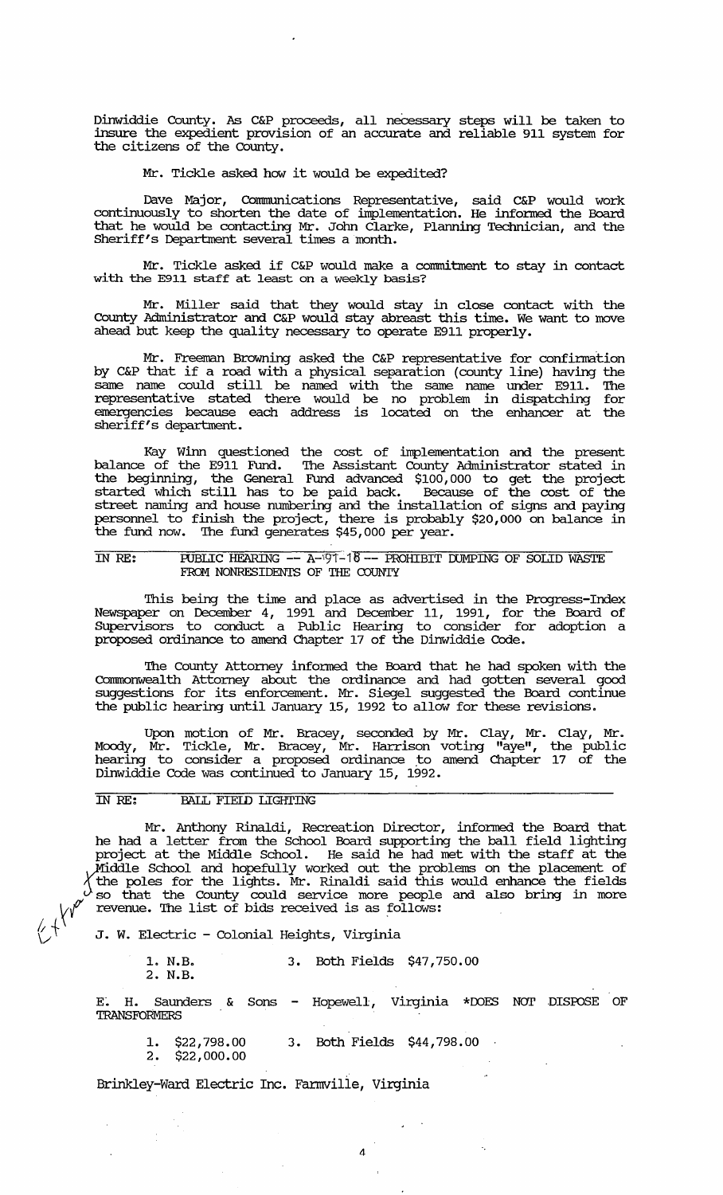Dinwiddie County. As C&P proceeds, all necessary steps will be taken to insure the expedient provision of an accurate and. reliable 911 system for the citizens of the county.

Mr. Tickle asked how it would be expedited?

Dave Major, Communications Representative, said C&P would work continuously to shorten the date of implementation. He infonned the Board that he would be contacting Mr. John Clarke, Planning Technician, and the Sheriff's Department several times a month.

Mr. Tickle asked if C&P would make a commitment to stay in contact with the E911 staff at least on a weekly basis?

Mr. Miller said that they would stay in close contact with the County Administrator and. C&P would stay abreast this time. We want to move ahead but keep the quality necessary to operate E911 properly.

Mr. Freeman Browning asked the C&P representative for confirmation by C&P that if a road with a physical separation (county line) having the same name could still be named with the same name under E911. The representative stated there would be no problem in dispatching for emergencies because each address is located on the enhancer at the sheriff's department.

Kay winn questioned the cost of implementation and. the present balance of the E911 Fund. The Assistant County Administrator stated in the beginning, the General Fund advanced \$100,000 to get the project started which still has to be paid back. Because of the cost of the street naming and house numbering and the installation of signs and paying personnel to finish the project, there is probably \$20,000 on balance in the fund now. The fund generates \$45,000 per year.

# IN RE: PUBLIC HEARING  $-$  A- $\sqrt{91}$ -18 -- PROHIBIT DUMPING OF SOLID WASTE FROM NONRESIDENTS OF THE COUNTY

This being the time and. place as advertised in the Progress-Index Newspaper on December 4, 1991 and. December 11, 1991, for the Board of SUpervisors to conduct a Public Hearing to consider for adoption a proposed ordinance to amend Chapter 17 of the Dinwiddie Code.

The County Attorney infonned the Board that he had spoken with the Connnonweal th Attorney about the ordinance and. had gotten several good suggestions for its enforcement. Mr. Siegel suggested the Board continue the public hearing until January 15, 1992 to allow for these revisions.

Upon motion of Mr. Bracey, seconded by Mr. Clay, Mr. Clay, Mr. Moody, Mr. Tickle, Mr. Bracey, Mr. Harrison voting "aye", the public hearing to consider a proposed ordinance to amend Chapter 17 of the Dinwiddie Code was continued to January 15, 1992.

# IN RE: BALL FIEID LIGHI'ING

Mr. Anthony Rinaldi, Recreation Director, infonned the Board that he had a letter from the School Board supporting the ball field lighting project at the Middle School. He said he had met with the staff at the iddle School and hopefully worked out the problems on the placement of the poles for the lights. Mr. Rinaldi said this would enhance the fields so that the County could service more people and. also bring in more  $\sqrt{\gamma}$  revenue. The list of bids received is as follows:

J. W. Electric - Colonial Heights, Virginia

1. N.B. 3. Both Fields \$47,750.00

2. N.B.

 $\frac{1}{2}$ 

E. H. Saunders & Sons - Hopewell, Virginia \*DOES NOT DISPOSE OF **TRANSFORMERS** 

1. \$22,798.00 3. Both Fields \$44,798.00

2. \$22,000.00

Brinkley-Ward Electric Inc. Fannvilie, Virginia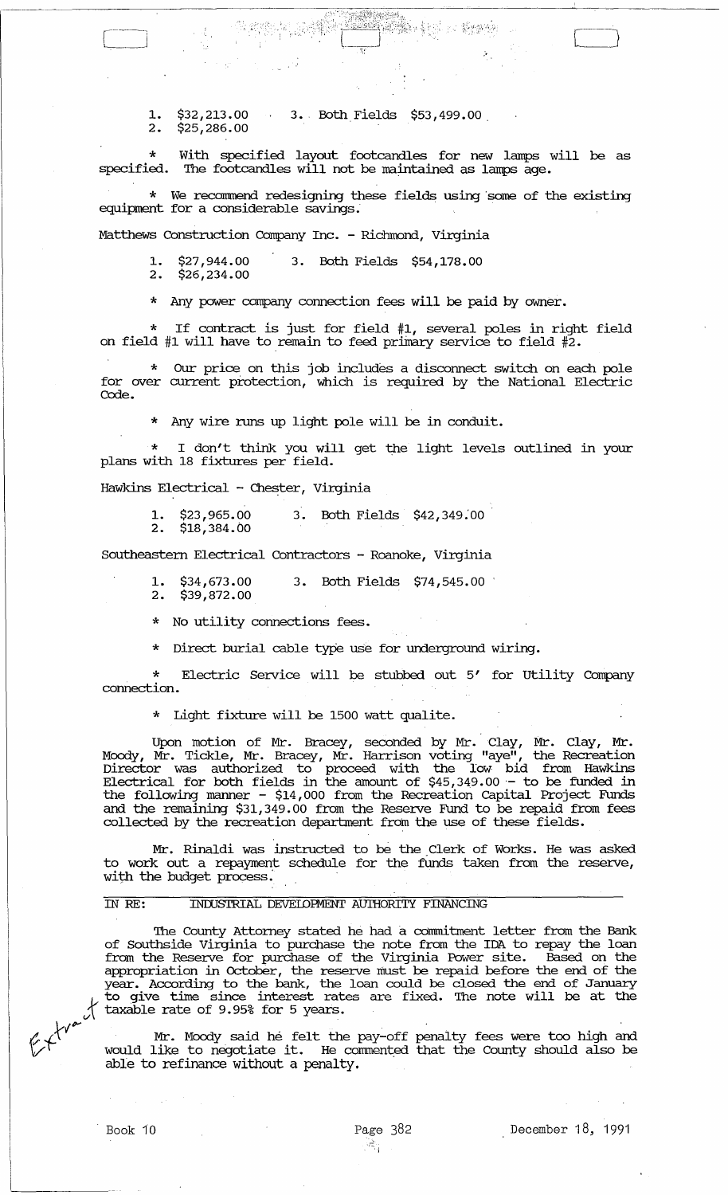1.  $$32,213.00$  3. Both Fields  $$53,499.00$ <br>2.  $$25,286.00$ \$32,213.00<br>\$25,286.00

\* specified. With specified layout footcandles for new lamps will be as The footcandles will not be maintained as lamps age.

Train en Euro,

**Range Start Start Start Start Start Start Start Start Start Start Start Start Start Start Start Start Start St** 

\* We recommend redesigning these fields using 'some of the existing equipment for a considerable savings.

Matthews Construction Company Inc. - Richmond, Virginia

1. \$27,944.00 3. Both Fields \$54,178.00<br>2. \$26.234.00 \$27,944.00<br>\$26,234.00

\* Any power company connection fees will be paid by owner.

\* If contract is just for field #1, several poles in right field on field #1 will have to remain to feed primary service to field #2.

\* OUr price on this job includes a disconnect switch on each pole for over current protection, which is required by the National Electric Code.

\* Any wire runs up light pole will be in conduit.

\* I don't think you will get the light levels outlined in your plans with 18 fixtures per field.

Hawkins Electrical - Chester, Virginia

1. \$23,965.00 3. Both Fields \$42,349:00 1. \$23,965.00<br>2. \$18,384.00

Southeastern Electrical Contractors - Roanoke, Virginia

1. \$34,673.00 3. Both Fields \$74,545.00'

2. \$39,872.00

\* No utility connections fees.

\* Direct burial cable type use for underground wiring.

\* Electric Service will be stubbed out 5' for utility Company connection.

\* Light fixture will be 1500 watt qualite.

Upon motion of Mr. Bracey, seconded by Mr. Clay, Mr. Clay, Mr. Moody, Mr. Tickle, Mr. Bracey, Mr. Harrison voting "aye", the Recreation Director was authorized to proceed with the low bid from Hawkins Electrical for both fields in the amount of  $$45,349.00 -$  to be funded in the following manner - \$14,000 from the Recreation capital Project Funds and the remaining \$31,349.00 from the Reserve Fund to be repaid from fees collected by the recreation department from the use of these fields.

Mr. Rinaldi was instructed to be the Clerk of Works. He was asked to work out a repayment schedule for the funds taken from the reserve, with the budget process.

### IN RE: INIUSTRIAL DEVEIDFMENT AUIHORITY FINANCING

The County Attorney stated he had a commitment letter from the Bank of Southside Virginia to purchase the note from the IDA to repay the loan from the Reserve for purchase of the Virginia Power site. Based on the appropriation in October, the reserve must be repaid before the end of the year. According to the bank, the loan could be closed the end of January to give time since interest rates are fixed. The note will be at the taxable rate of 9.95% for 5 years. taxable rate of 9.95% for 5 years. *v .* 

Mr. Moody said he felt the pay-off penalty fees were too high and<br>would like to negotiate it. He commented that the County should also be able to refinance without a penalty.

 $k + 1$ 

 $\begin{pmatrix} 1 & 1 \\ 1 & 1 \end{pmatrix}$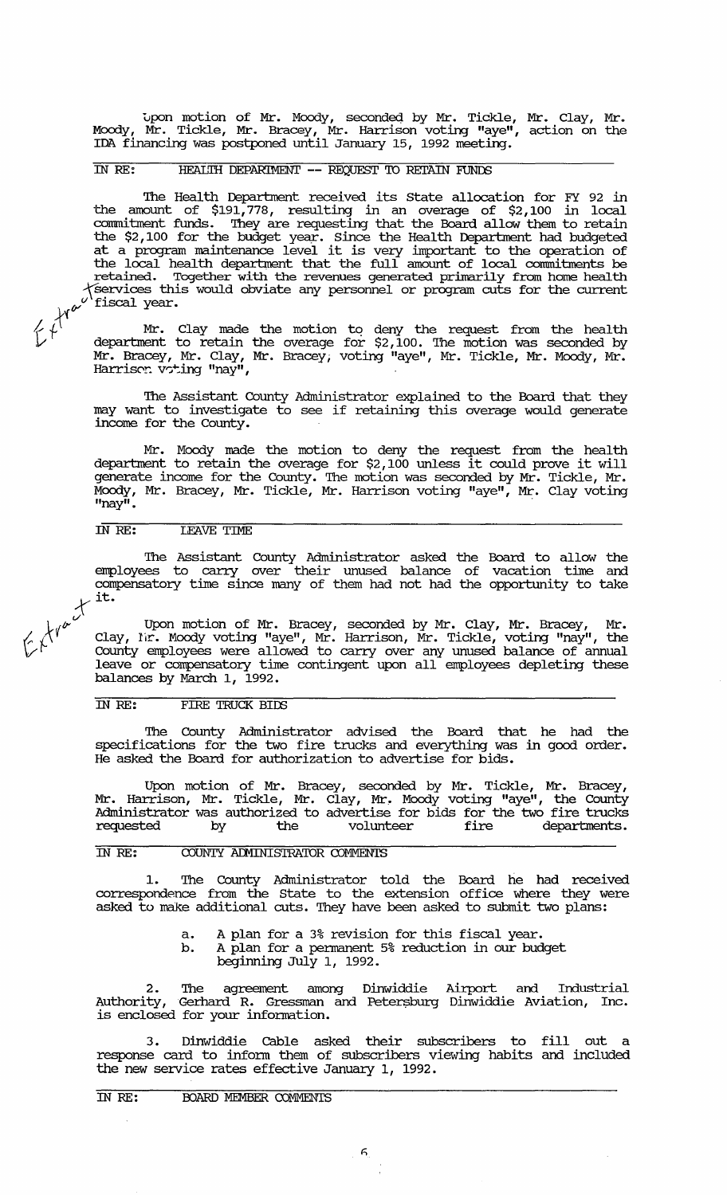upon motion of Mr. Moody, secondeq by Mr. Tickle, Mr. Clay, Mr. Moody, Mr. Tickle, Mr. Bracey, Mr. Harrison voting "aye", action on the IDA financing was postponed until January 15, 1992 meeting.

# IN RE: HEALTH DEPARIMENT -- REQUEST TO RETAIN FUNDS

The Health Deparbnent received its state allocation for FY 92 in the amount of \$191,778, resulting in an overage of \$2,100 in local commitment funds. They are requesting that the Board allow them to retain the \$2,100 for the budget year. Since the Health Department had budgeted at a program maintenance level it is very important to the operation of the local health department that the full amount of local commitments be retained. Together with the revenues generated primarily from home health :-t:services this would obviate any personnel or program cuts for the current  $\mathbf{\omega}^{\nu}$ fiscal year.

Mr. Clay made the motion to deny the request from the health department to retain the overage for  $$2,100$ . The motion was seconded by Mr. Bracey, Mr. Clay, Mr. Bracey, voting "aye", Mr. Tickle, Mr. Moody, Mr. Harriscr. voting "nay",

The Assistant County Administrator explained to the Board that they may want to investigate to see if retaining this overage would generate income for the County.

Mr. Moody made the motion to deny the request from the health department to retain the overage for \$2,100 unless it could prove it will generate income for the County. The motion was seconded by Mr. Tickle, Mr. Moody, Mr. Bracey, Mr. Tickle, Mr. Harrison voting "aye", Mr. Clay voting "nay".

# IN RE: LEAVE TIME

 $\mathcal{L}$  f $^{\prime\prime}$  $\mathcal{L}^{\intercal}$ 

*}{b'* 

 $(\mathcal{L}, \mathcal{L})$ 

The Assistant County Administrator asked the employees to carry over their unused balance of compensatory time since many of them had not had the opportunity to take Board to allow the vacation time and  $\times$  it.

Upon motion of Mr. Bracey, seconded by Mr. Clay, Mr. Bracey, Mr. Clay, lir. Moody voting "aye", Mr. Harrison, Mr. Tickle, voting "nay", the county employees were allowed to carry over any unused balance of annual leave or compensatory time contingent upon all employees depleting these balances by March 1, 1992.

# IN RE: FIRE TRUCK BIDS

The County Administrator advised the Board that he had the specifications for the two fire trucks and everything was in good order. He asked the Board for authorization to advertise for bids.

Upon motion of Mr. Bracey, seconded by Mr. Tickle, Mr. Bracey, Mr. Harrison, Mr. Tickle, Mr. Clay, Mr. Moody voting "aye", the County Administrator was authorized to advertise for bids for the two fire trucks requested by the volunteer fire departments.

# IN RE: COUNTY ADMINISTRATOR COMMENTS

1. The County Administrator told the Board he had received correspondence from the State to the extension office where they were asked to make additional cuts. They have been asked to submit two plans:

- a. A plan for a 3% revision for this fiscal year.
- b. A plan for a pennanent 5% reduction in our budget beginning July 1, 1992.

2. The agreement among Dinwiddie Airport and Industrial Authority, Gerhard R. Gressman and Petersburg Dinwiddie Aviation, Inc. is enclosed for your information.

3. Dinwiddie cable asked their subscribers to fill out a response card to infom them of subscribers viewing habits and included the new service rates effective January 1, 1992.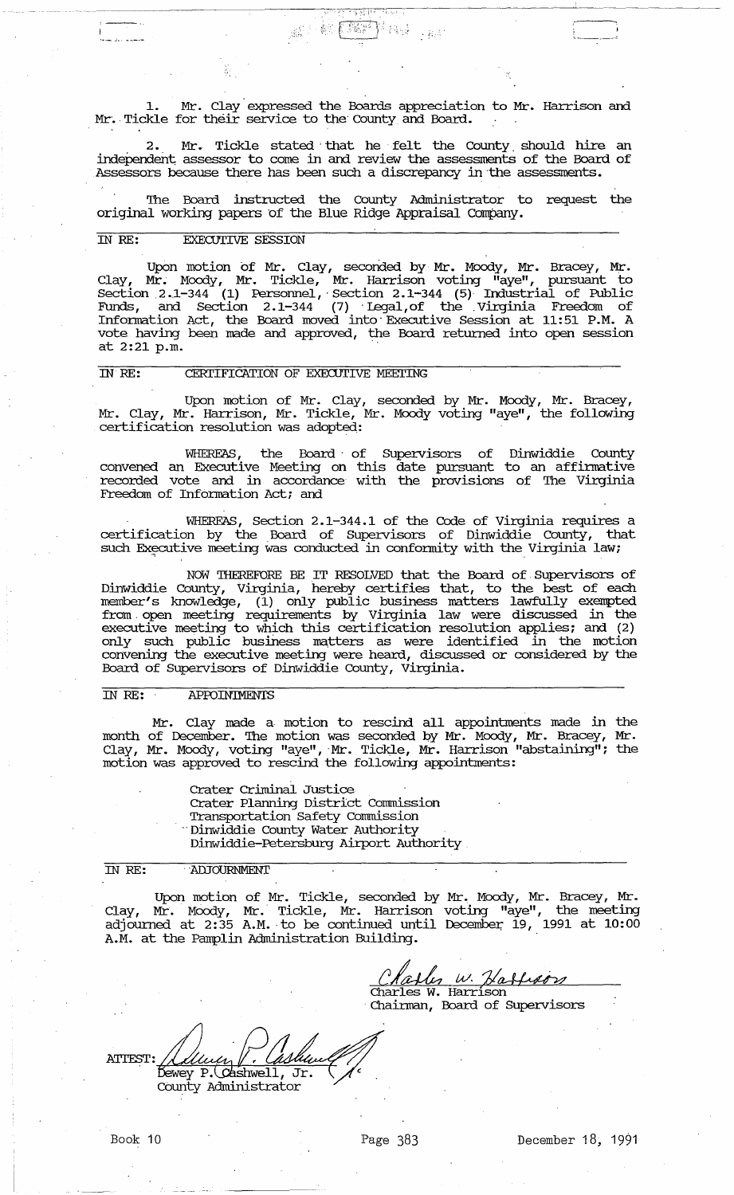Mr. Clay expressed the Boards appreciation to Mr. Harrison and Mr. Tickle for their service to the County and Board.

A REPARA

Mr. Tickle stated that he felt the County should hire an independent assessor to come in and review the assessments of the Board of Assessors because there has been such a discrepancy in the assessments.

The Board instructed the County Administrator to request the original working papers of the Blue Ridge Appraisal Company.

#### $\overline{INRE:}$ **EXECUTIVE SESSION**

Upon motion of Mr. Clay, seconded by Mr. Moody, Mr. Bracey, Mr. Clay, Mr. Moody, Mr. Tickle, Mr. Harrison voting "aye", pursuant to Section 2.1-344 (1) Personnel, Section 2.1-344 (5) Industrial of Public Funds, and Section at 2:21 p.m.

#### $\overline{NRE}$ : CERTIFICATION OF EXECUTIVE MEETING

Upon motion of Mr. Clay, seconded by Mr. Moody, Mr. Bracey,<br>Mr. Clay, Mr. Harrison, Mr. Tickle, Mr. Moody voting "aye", the following certification resolution was adopted:

WHEREAS, the Board of Supervisors of Dinwiddie County<br>convened an Executive Meeting on this date pursuant to an affirmative recorded vote and in accordance with the provisions of The Virginia Freedom of Information Act; and

WHEREAS, Section 2.1-344.1 of the Code of Virginia requires a<br>certification by the Board of Supervisors of Dinwiddie County, that<br>such Executive meeting was conducted in conformity with the Virginia law;

NOW THEREFORE BE IT RESOLVED that the Board of Supervisors of<br>Dinwiddie County, Virginia, hereby certifies that, to the best of each<br>member's knowledge, (1) only public business matters lawfully exempted<br>from open meeting convening the executive meeting were heard, discussed or considered by the Board of Supervisors of Dinwiddie County, Virginia.

#### IN RE: APPOINTMENTS

Mr. Clay made a motion to rescind all appointments made in the month of December. The motion was seconded by Mr. Moody, Mr. Bracey, Mr. Clay, Mr. Moody, voting "aye", Mr. Tickle, Mr. Harrison "abstaining"; the motion was approved to rescind the following appointments:

> Crater Criminal Justice Crater Planning District Commission<br>Transportation Safety Commission Dinwiddie County Water Authority Dinwiddie-Petersburg Airport Authority

 $\overline{M}$  RE:

Upon motion of Mr. Tickle, seconded by Mr. Moody, Mr. Bracey, Mr. Clay, Mr. Moody, Mr. Tickle, Mr. Harrison voting "aye", the meeting adjourned at 2:35 A.M. to be continued until December 19, 1991 at 10:00 A.M. at the Pamplin Administration Building.

Chaples W. Hafferos

Chairman, Board of Supervisors

**ATTEST:** Bewey P. Cashwell, Jr. County Administrator

ADJOURNMENT

Page 383